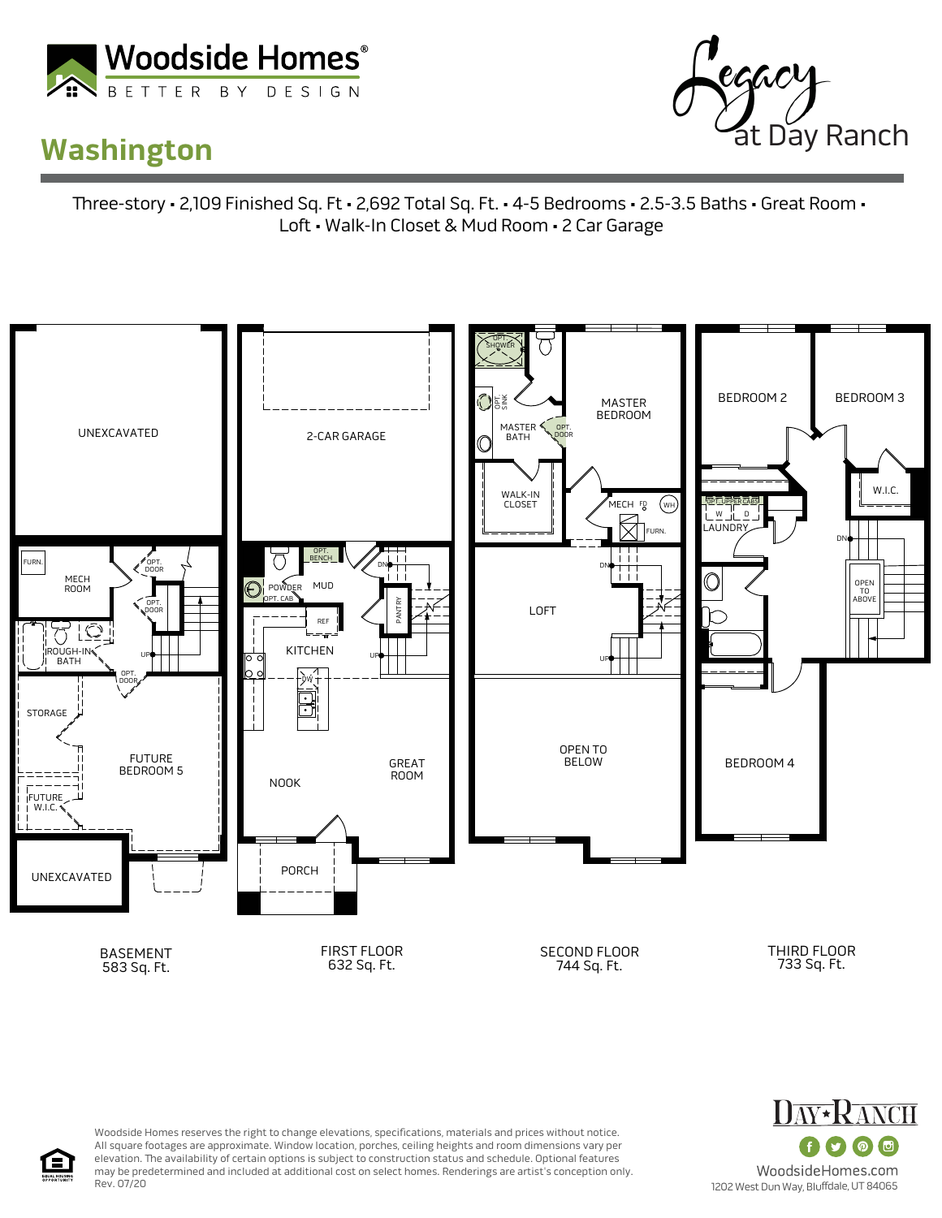

## **Washington**



ree-story • 2,109 Finished Sq. Ft • 2,692 Total Sq. Ft. • 4-5 Bedrooms • 2.5-3.5 Baths • Great Room • Loft • Walk-In Closet & Mud Room • 2 Car Garage





Woodside Homes reserves the right to change elevations, specifications, materials and prices without notice. All square footages are approximate. Window location, porches, ceiling heights and room dimensions vary per elevation. The availability of certain options is subject to construction status and schedule. Optional features may be predetermined and included at additional cost on select homes. Renderings are artist's conception only. Rev. 07/20

1202 West Dun Way, Bluffdale, UT 84065